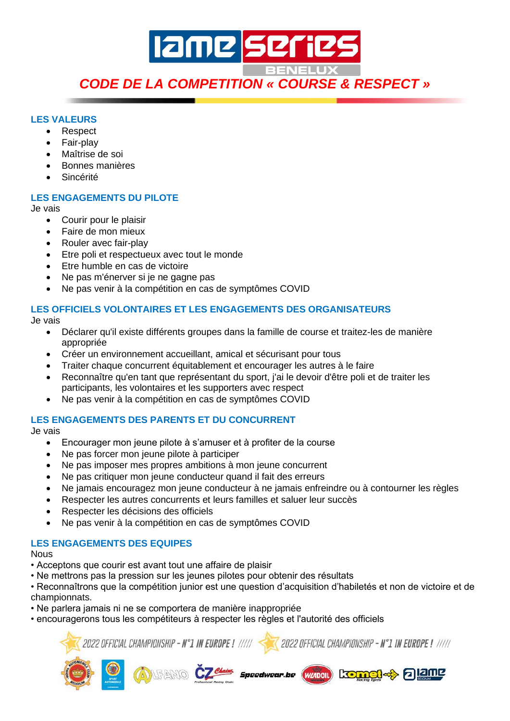# **Iame serie** *CODE DE LA COMPETITION « COURSE & RESPECT »*

#### **LES VALEURS**

- Respect
- Fair-play
- Maîtrise de soi
- Bonnes manières
- Sincérité

### **LES ENGAGEMENTS DU PILOTE**

Je vais

- Courir pour le plaisir
- Faire de mon mieux
- Rouler avec fair-play
- Etre poli et respectueux avec tout le monde
- Etre humble en cas de victoire
- Ne pas m'énerver si je ne gagne pas
- Ne pas venir à la compétition en cas de symptômes COVID

### **LES OFFICIELS VOLONTAIRES ET LES ENGAGEMENTS DES ORGANISATEURS**

Je vais

- Déclarer qu'il existe différents groupes dans la famille de course et traitez-les de manière appropriée
- Créer un environnement accueillant, amical et sécurisant pour tous
- Traiter chaque concurrent équitablement et encourager les autres à le faire
- Reconnaître qu'en tant que représentant du sport, j'ai le devoir d'être poli et de traiter les participants, les volontaires et les supporters avec respect
- Ne pas venir à la compétition en cas de symptômes COVID

### **LES ENGAGEMENTS DES PARENTS ET DU CONCURRENT**

Je vais

- Encourager mon jeune pilote à s'amuser et à profiter de la course
- Ne pas forcer mon jeune pilote à participer
- Ne pas imposer mes propres ambitions à mon jeune concurrent
- Ne pas critiquer mon jeune conducteur quand il fait des erreurs
- Ne jamais encouragez mon jeune conducteur à ne jamais enfreindre ou à contourner les règles
- Respecter les autres concurrents et leurs familles et saluer leur succès
- Respecter les décisions des officiels
- Ne pas venir à la compétition en cas de symptômes COVID

### **LES ENGAGEMENTS DES EQUIPES**

**Nous** 

- Acceptons que courir est avant tout une affaire de plaisir
- Ne mettrons pas la pression sur les jeunes pilotes pour obtenir des résultats

• Reconnaîtrons que la compétition junior est une question d'acquisition d'habiletés et non de victoire et de championnats.

- Ne parlera jamais ni ne se comportera de manière inappropriée
- encouragerons tous les compétiteurs à respecter les règles et l'autorité des officiels



Speedwear be

(WZADOIL)

kom